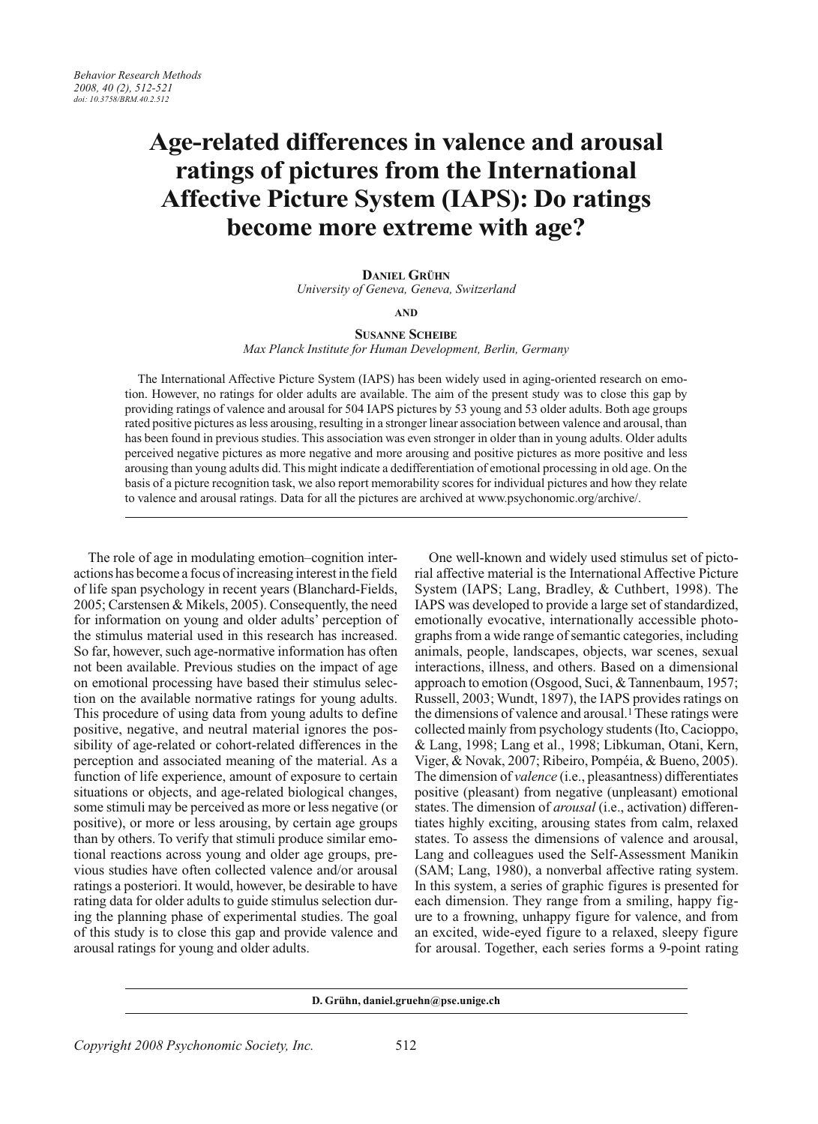# **Age-related differences in valence and arousal ratings of pictures from the International Affective Picture System (IAPS): Do ratings become more extreme with age?**

**DANIEL GRÜHN** *University of Geneva, Geneva, Switzerland*

**AND**

**SUSANNE SCHEIBE**

*Max Planck Institute for Human Development, Berlin, Germany*

The International Affective Picture System (IAPS) has been widely used in aging-oriented research on emotion. However, no ratings for older adults are available. The aim of the present study was to close this gap by providing ratings of valence and arousal for 504 IAPS pictures by 53 young and 53 older adults. Both age groups rated positive pictures as less arousing, resulting in a stronger linear association between valence and arousal, than has been found in previous studies. This association was even stronger in older than in young adults. Older adults perceived negative pictures as more negative and more arousing and positive pictures as more positive and less arousing than young adults did. This might indicate a dedifferentiation of emotional processing in old age. On the basis of a picture recognition task, we also report memorability scores for individual pictures and how they relate to valence and arousal ratings. Data for all the pictures are archived at www.psychonomic.org/archive/.

The role of age in modulating emotion–cognition interactions has become a focus of increasing interest in the field of life span psychology in recent years (Blanchard-Fields, 2005; Carstensen & Mikels, 2005). Consequently, the need for information on young and older adults' perception of the stimulus material used in this research has increased. So far, however, such age-normative information has often not been available. Previous studies on the impact of age on emotional processing have based their stimulus selection on the available normative ratings for young adults. This procedure of using data from young adults to define positive, negative, and neutral material ignores the possibility of age-related or cohort-related differences in the perception and associated meaning of the material. As a function of life experience, amount of exposure to certain situations or objects, and age-related biological changes, some stimuli may be perceived as more or less negative (or positive), or more or less arousing, by certain age groups than by others. To verify that stimuli produce similar emotional reactions across young and older age groups, previous studies have often collected valence and/or arousal ratings a posteriori. It would, however, be desirable to have rating data for older adults to guide stimulus selection during the planning phase of experimental studies. The goal of this study is to close this gap and provide valence and arousal ratings for young and older adults.

One well-known and widely used stimulus set of pictorial affective material is the International Affective Picture System (IAPS; Lang, Bradley, & Cuthbert, 1998). The IAPS was developed to provide a large set of standardized, emotionally evocative, internationally accessible photographs from a wide range of semantic categories, including animals, people, landscapes, objects, war scenes, sexual interactions, illness, and others. Based on a dimensional approach to emotion (Osgood, Suci, & Tannenbaum, 1957; Russell, 2003; Wundt, 1897), the IAPS provides ratings on the dimensions of valence and arousal.<sup>1</sup> These ratings were collected mainly from psychology students (Ito, Cacioppo, & Lang, 1998; Lang et al., 1998; Libkuman, Otani, Kern, Viger, & Novak, 2007; Ribeiro, Pompéia, & Bueno, 2005). The dimension of *valence* (i.e., pleasantness) differentiates positive (pleasant) from negative (unpleasant) emotional states. The dimension of *arousal* (i.e., activation) differentiates highly exciting, arousing states from calm, relaxed states. To assess the dimensions of valence and arousal, Lang and colleagues used the Self-Assessment Manikin (SAM; Lang, 1980), a nonverbal affective rating system. In this system, a series of graphic figures is presented for each dimension. They range from a smiling, happy figure to a frowning, unhappy figure for valence, and from an excited, wide-eyed figure to a relaxed, sleepy figure for arousal. Together, each series forms a 9-point rating

**D. Grühn, daniel.gruehn@pse.unige.ch**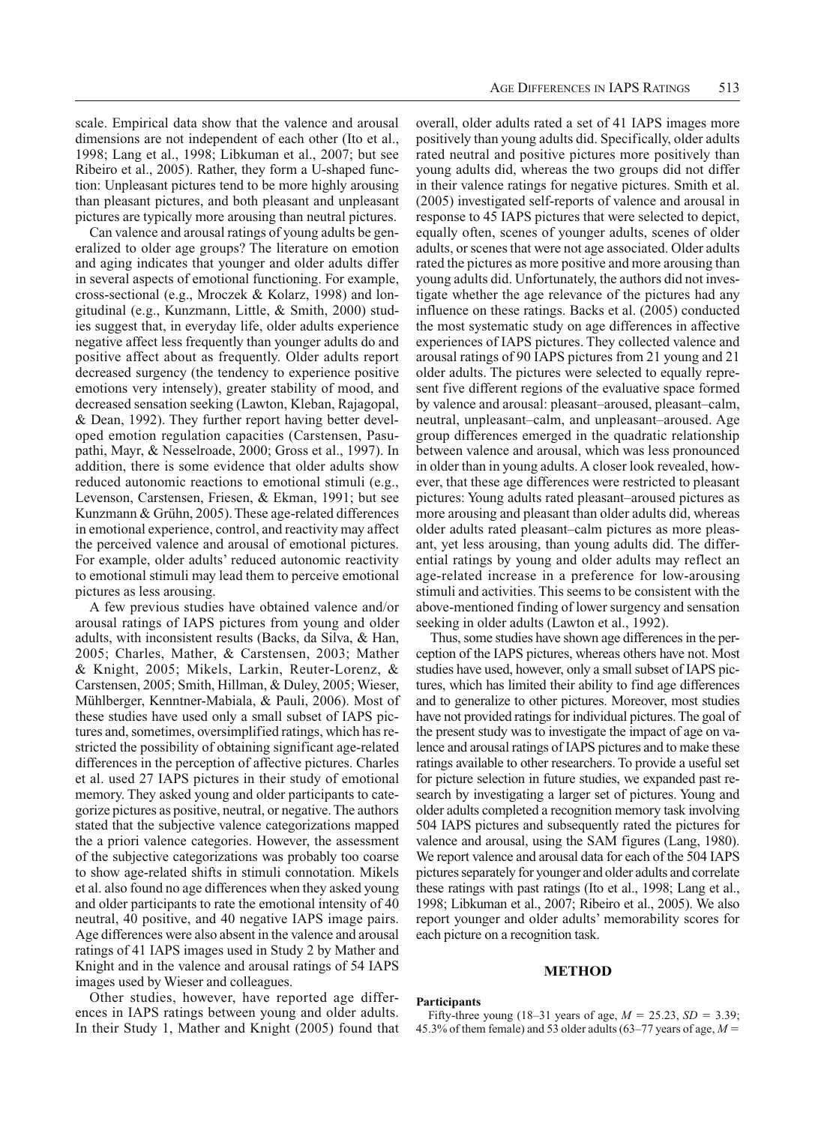scale. Empirical data show that the valence and arousal dimensions are not independent of each other (Ito et al., 1998; Lang et al., 1998; Libkuman et al., 2007; but see Ribeiro et al., 2005). Rather, they form a U-shaped function: Unpleasant pictures tend to be more highly arousing than pleasant pictures, and both pleasant and unpleasant pictures are typically more arousing than neutral pictures.

Can valence and arousal ratings of young adults be generalized to older age groups? The literature on emotion and aging indicates that younger and older adults differ in several aspects of emotional functioning. For example, cross-sectional (e.g., Mroczek & Kolarz, 1998) and longitudinal (e.g., Kunzmann, Little, & Smith, 2000) studies suggest that, in everyday life, older adults experience negative affect less frequently than younger adults do and positive affect about as frequently. Older adults report decreased surgency (the tendency to experience positive emotions very intensely), greater stability of mood, and decreased sensation seeking (Lawton, Kleban, Rajagopal, & Dean, 1992). They further report having better developed emotion regulation capacities (Carstensen, Pasupathi, Mayr, & Nesselroade, 2000; Gross et al., 1997). In addition, there is some evidence that older adults show reduced autonomic reactions to emotional stimuli (e.g., Levenson, Carstensen, Friesen, & Ekman, 1991; but see Kunzmann & Grühn, 2005). These age-related differences in emotional experience, control, and reactivity may affect the perceived valence and arousal of emotional pictures. For example, older adults' reduced autonomic reactivity to emotional stimuli may lead them to perceive emotional pictures as less arousing.

A few previous studies have obtained valence and/or arousal ratings of IAPS pictures from young and older adults, with inconsistent results (Backs, da Silva, & Han, 2005; Charles, Mather, & Carstensen, 2003; Mather & Knight, 2005; Mikels, Larkin, Reuter-Lorenz, & Carstensen, 2005; Smith, Hillman, & Duley, 2005; Wieser, Mühlberger, Kenntner-Mabiala, & Pauli, 2006). Most of these studies have used only a small subset of IAPS pictures and, sometimes, oversimplified ratings, which has restricted the possibility of obtaining significant age-related differences in the perception of affective pictures. Charles et al. used 27 IAPS pictures in their study of emotional memory. They asked young and older participants to categorize pictures as positive, neutral, or negative. The authors stated that the subjective valence categorizations mapped the a priori valence categories. However, the assessment of the subjective categorizations was probably too coarse to show age-related shifts in stimuli connotation. Mikels et al. also found no age differences when they asked young and older participants to rate the emotional intensity of 40 neutral, 40 positive, and 40 negative IAPS image pairs. Age differences were also absent in the valence and arousal ratings of 41 IAPS images used in Study 2 by Mather and Knight and in the valence and arousal ratings of 54 IAPS images used by Wieser and colleagues.

Other studies, however, have reported age differences in IAPS ratings between young and older adults. In their Study 1, Mather and Knight (2005) found that

overall, older adults rated a set of 41 IAPS images more positively than young adults did. Specifically, older adults rated neutral and positive pictures more positively than young adults did, whereas the two groups did not differ in their valence ratings for negative pictures. Smith et al. (2005) investigated self-reports of valence and arousal in response to 45 IAPS pictures that were selected to depict, equally often, scenes of younger adults, scenes of older adults, or scenes that were not age associated. Older adults rated the pictures as more positive and more arousing than young adults did. Unfortunately, the authors did not investigate whether the age relevance of the pictures had any influence on these ratings. Backs et al. (2005) conducted the most systematic study on age differences in affective experiences of IAPS pictures. They collected valence and arousal ratings of 90 IAPS pictures from 21 young and 21 older adults. The pictures were selected to equally represent five different regions of the evaluative space formed by valence and arousal: pleasant–aroused, pleasant–calm, neutral, unpleasant–calm, and unpleasant–aroused. Age group differences emerged in the quadratic relationship between valence and arousal, which was less pronounced in older than in young adults. A closer look revealed, however, that these age differences were restricted to pleasant pictures: Young adults rated pleasant–aroused pictures as more arousing and pleasant than older adults did, whereas older adults rated pleasant–calm pictures as more pleasant, yet less arousing, than young adults did. The differential ratings by young and older adults may reflect an age-related increase in a preference for low-arousing stimuli and activities. This seems to be consistent with the above-mentioned finding of lower surgency and sensation seeking in older adults (Lawton et al., 1992).

Thus, some studies have shown age differences in the perception of the IAPS pictures, whereas others have not. Most studies have used, however, only a small subset of IAPS pictures, which has limited their ability to find age differences and to generalize to other pictures. Moreover, most studies have not provided ratings for individual pictures. The goal of the present study was to investigate the impact of age on valence and arousal ratings of IAPS pictures and to make these ratings available to other researchers. To provide a useful set for picture selection in future studies, we expanded past research by investigating a larger set of pictures. Young and older adults completed a recognition memory task involving 504 IAPS pictures and subsequently rated the pictures for valence and arousal, using the SAM figures (Lang, 1980). We report valence and arousal data for each of the 504 IAPS pictures separately for younger and older adults and correlate these ratings with past ratings (Ito et al., 1998; Lang et al., 1998; Libkuman et al., 2007; Ribeiro et al., 2005). We also report younger and older adults' memorability scores for each picture on a recognition task.

### **METHOD**

#### **Participants**

Fifty-three young (18–31 years of age,  $M = 25.23$ ,  $SD = 3.39$ ; 45.3% of them female) and 53 older adults (63–77 years of age, *M*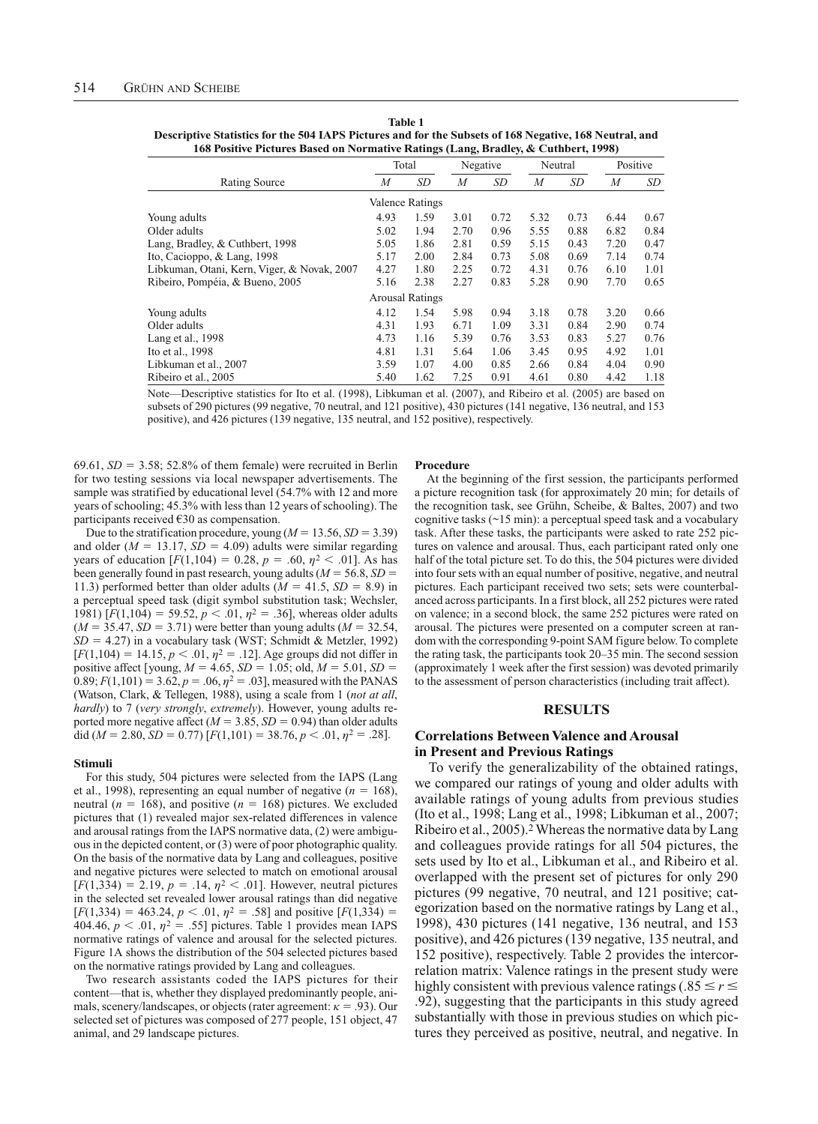| 168 Positive Pictures Based on Normative Ratings (Lang, Bradley, & Cuthbert, 1998) |      |                        |                  |      |                  |      |                  |      |
|------------------------------------------------------------------------------------|------|------------------------|------------------|------|------------------|------|------------------|------|
|                                                                                    |      | Total                  | Negative         |      | Neutral          |      | Positive         |      |
| Rating Source                                                                      | M    | SD                     | $\boldsymbol{M}$ | SD   | $\boldsymbol{M}$ | SD   | $\boldsymbol{M}$ | SD   |
|                                                                                    |      | Valence Ratings        |                  |      |                  |      |                  |      |
| Young adults                                                                       | 4.93 | 1.59                   | 3.01             | 0.72 | 5.32             | 0.73 | 6.44             | 0.67 |
| Older adults                                                                       | 5.02 | 1.94                   | 2.70             | 0.96 | 5.55             | 0.88 | 6.82             | 0.84 |
| Lang, Bradley, & Cuthbert, 1998                                                    | 5.05 | 1.86                   | 2.81             | 0.59 | 5.15             | 0.43 | 7.20             | 0.47 |
| Ito, Cacioppo, & Lang, 1998                                                        | 5.17 | 2.00                   | 2.84             | 0.73 | 5.08             | 0.69 | 7.14             | 0.74 |
| Libkuman, Otani, Kern, Viger, & Novak, 2007                                        | 4.27 | 1.80                   | 2.25             | 0.72 | 4.31             | 0.76 | 6.10             | 1.01 |
| Ribeiro, Pompéia, & Bueno, 2005                                                    | 5.16 | 2.38                   | 2.27             | 0.83 | 5.28             | 0.90 | 7.70             | 0.65 |
|                                                                                    |      | <b>Arousal Ratings</b> |                  |      |                  |      |                  |      |
| Young adults                                                                       | 4.12 | 1.54                   | 5.98             | 0.94 | 3.18             | 0.78 | 3.20             | 0.66 |
| Older adults                                                                       | 4.31 | 1.93                   | 6.71             | 1.09 | 3.31             | 0.84 | 2.90             | 0.74 |
| Lang et al., 1998                                                                  | 4.73 | 1.16                   | 5.39             | 0.76 | 3.53             | 0.83 | 5.27             | 0.76 |
| Ito et al., 1998                                                                   | 4.81 | 1.31                   | 5.64             | 1.06 | 3.45             | 0.95 | 4.92             | 1.01 |
| Libkuman et al., 2007                                                              | 3.59 | 1.07                   | 4.00             | 0.85 | 2.66             | 0.84 | 4.04             | 0.90 |
| Ribeiro et al., 2005                                                               | 5.40 | 1.62                   | 7.25             | 0.91 | 4.61             | 0.80 | 4.42             | 1.18 |

**Table 1 Descriptive Statistics for the 504 IAPS Pictures and for the Subsets of 168 Negative, 168 Neutral, and 168 Positive Pictures Based on Normative Ratings (Lang, Bradley, & Cuthbert, 1998)**

Note—Descriptive statistics for Ito et al. (1998), Libkuman et al. (2007), and Ribeiro et al. (2005) are based on subsets of 290 pictures (99 negative, 70 neutral, and 121 positive), 430 pictures (141 negative, 136 neutral, and 153 positive), and 426 pictures (139 negative, 135 neutral, and 152 positive), respectively.

 $69.61$ ,  $SD = 3.58$ ;  $52.8%$  of them female) were recruited in Berlin for two testing sessions via local newspaper advertisements. The sample was stratified by educational level (54.7% with 12 and more years of schooling; 45.3% with less than 12 years of schooling). The participants received  $\epsilon$ 30 as compensation.

Due to the stratification procedure, young  $(M = 13.56, SD = 3.39)$ and older  $(M = 13.17, SD = 4.09)$  adults were similar regarding years of education  $[F(1,104) = 0.28, p = .60, \eta^2 < .01]$ . As has been generally found in past research, young adults ( $M = 56.8$ ,  $SD =$ 11.3) performed better than older adults ( $M = 41.5$ ,  $SD = 8.9$ ) in a perceptual speed task (digit symbol substitution task; Wechsler, 1981) [ $F(1,104) = 59.52, p < .01, \eta^2 = .36$ ], whereas older adults  $(M = 35.47, SD = 3.71)$  were better than young adults  $(M = 32.54,$  $SD = 4.27$ ) in a vocabulary task (WST; Schmidt & Metzler, 1992)  $[F(1,104) = 14.15, p < .01, \eta^2 = .12]$ . Age groups did not differ in positive affect [young,  $M = 4.65$ ,  $SD = 1.05$ ; old,  $M = 5.01$ ,  $SD =$  $(0.89; F(1,101) = 3.62, p = .06, \eta^2 = .03$ ], measured with the PANAS (Watson, Clark, & Tellegen, 1988), using a scale from 1 (*not at all*, *hardly*) to 7 (*very strongly*, *extremely*). However, young adults reported more negative affect  $(M = 3.85, SD = 0.94)$  than older adults did ( $M = 2.80$ ,  $SD = 0.77$ ) [ $F(1,101) = 38.76$ ,  $p < .01$ ,  $\eta^2 = .28$ ].

#### **Stimuli**

For this study, 504 pictures were selected from the IAPS (Lang et al., 1998), representing an equal number of negative  $(n = 168)$ , neutral ( $n = 168$ ), and positive ( $n = 168$ ) pictures. We excluded pictures that (1) revealed major sex-related differences in valence and arousal ratings from the IAPS normative data, (2) were ambiguous in the depicted content, or (3) were of poor photographic quality. On the basis of the normative data by Lang and colleagues, positive and negative pictures were selected to match on emotional arousal  $[F(1,334) = 2.19, p = .14, \eta^2 < .01]$ . However, neutral pictures in the selected set revealed lower arousal ratings than did negative  $[F(1,334) = 463.24, p < .01, \eta^2 = .58]$  and positive  $[F(1,334) =$ 404.46,  $p < .01$ ,  $\eta^2 = .55$ ] pictures. Table 1 provides mean IAPS normative ratings of valence and arousal for the selected pictures. Figure 1A shows the distribution of the 504 selected pictures based on the normative ratings provided by Lang and colleagues.

Two research assistants coded the IAPS pictures for their content— that is, whether they displayed predominantly people, animals, scenery/landscapes, or objects (rater agreement:  $\kappa = .93$ ). Our selected set of pictures was composed of 277 people, 151 object, 47 animal, and 29 landscape pictures.

#### **Procedure**

At the beginning of the first session, the participants performed a picture recognition task (for approximately 20 min; for details of the recognition task, see Grühn, Scheibe, & Baltes, 2007) and two cognitive tasks (~15 min): a perceptual speed task and a vocabulary task. After these tasks, the participants were asked to rate 252 pictures on valence and arousal. Thus, each participant rated only one half of the total picture set. To do this, the 504 pictures were divided into four sets with an equal number of positive, negative, and neutral pictures. Each participant received two sets; sets were counterbalanced across participants. In a first block, all 252 pictures were rated on valence; in a second block, the same 252 pictures were rated on arousal. The pictures were presented on a computer screen at random with the corresponding 9-point SAM figure below. To complete the rating task, the participants took 20–35 min. The second session (approximately 1 week after the first session) was devoted primarily to the assessment of person characteristics (including trait affect).

#### **RESULTS**

#### **Correlations Between Valence and Arousal in Present and Previous Ratings**

To verify the generalizability of the obtained ratings, we compared our ratings of young and older adults with available ratings of young adults from previous studies (Ito et al., 1998; Lang et al., 1998; Libkuman et al., 2007; Ribeiro et al., 2005).2 Whereas the normative data by Lang and colleagues provide ratings for all 504 pictures, the sets used by Ito et al., Libkuman et al., and Ribeiro et al. overlapped with the present set of pictures for only 290 pictures (99 negative, 70 neutral, and 121 positive; categorization based on the normative ratings by Lang et al., 1998), 430 pictures (141 negative, 136 neutral, and 153 positive), and 426 pictures (139 negative, 135 neutral, and 152 positive), respectively. Table 2 provides the intercorrelation matrix: Valence ratings in the present study were highly consistent with previous valence ratings (.85  $\leq r \leq$ .92), suggesting that the participants in this study agreed substantially with those in previous studies on which pictures they perceived as positive, neutral, and negative. In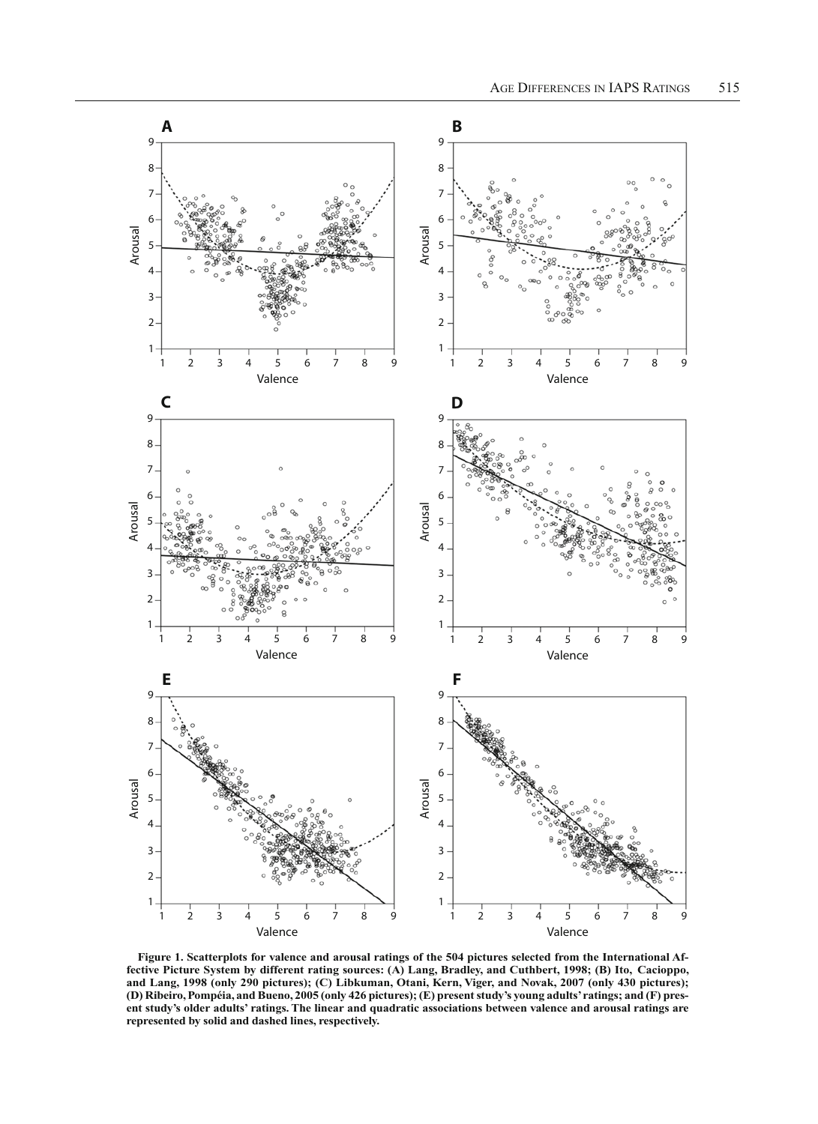

**Figure 1. Scatterplots for valence and arousal ratings of the 504 pictures selected from the International Affective Picture System by different rating sources: (A) Lang, Bradley, and Cuthbert, 1998; (B) Ito, Cacioppo, and Lang, 1998 (only 290 pictures); (C) Libkuman, Otani, Kern, Viger, and Novak, 2007 (only 430 pictures); (D) Ribeiro, Pompéia, and Bueno, 2005 (only 426 pictures); (E) present study's young adults' ratings; and (F) present study's older adults' ratings. The linear and quadratic associations between valence and arousal ratings are represented by solid and dashed lines, respectively.**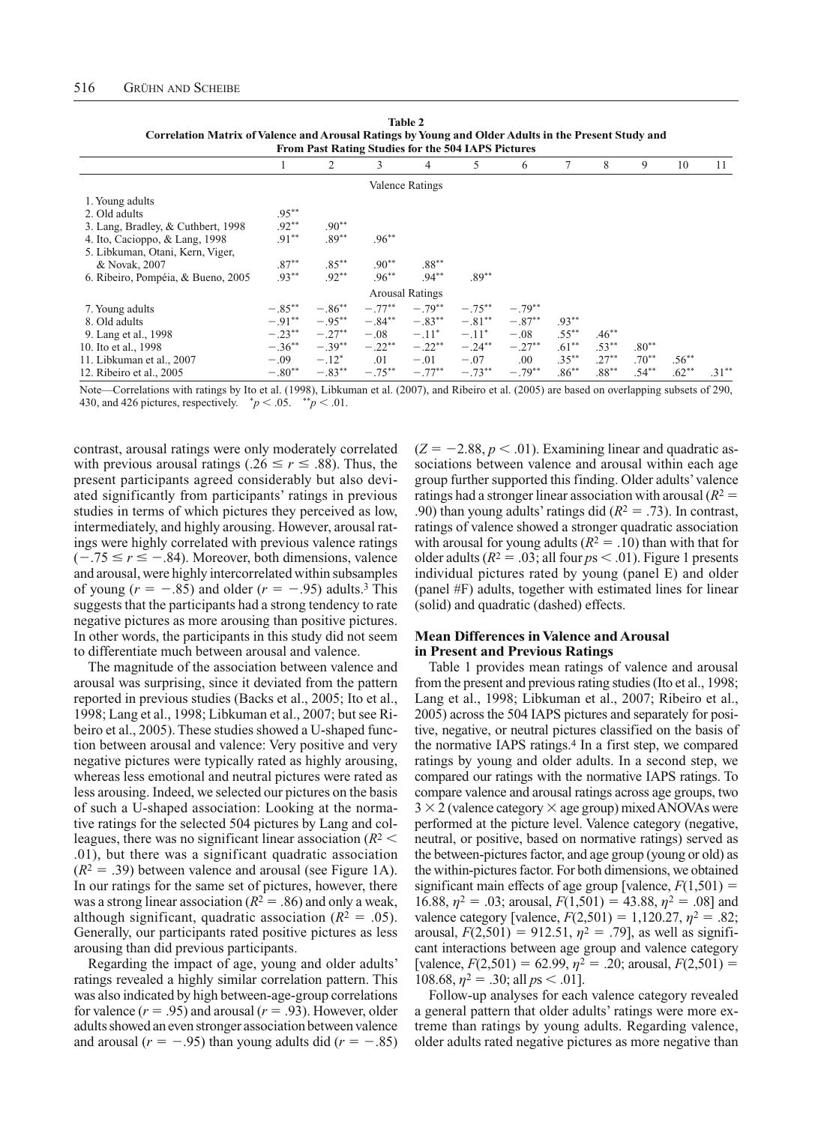| From Past Rating Studies for the 504 IAPS Pictures |           |          |           |                        |           |          |          |          |          |          |          |
|----------------------------------------------------|-----------|----------|-----------|------------------------|-----------|----------|----------|----------|----------|----------|----------|
|                                                    |           | 2        | 3         | 4                      | 5         | 6        | 7        | 8        | 9        | 10       | 11       |
|                                                    |           |          |           | Valence Ratings        |           |          |          |          |          |          |          |
| 1. Young adults                                    |           |          |           |                        |           |          |          |          |          |          |          |
| 2. Old adults                                      | $.95***$  |          |           |                        |           |          |          |          |          |          |          |
| 3. Lang, Bradley, & Cuthbert, 1998                 | $.92**$   | $.90**$  |           |                        |           |          |          |          |          |          |          |
| 4. Ito, Cacioppo, & Lang, 1998                     | $.91***$  | $.89***$ | $.96***$  |                        |           |          |          |          |          |          |          |
| 5. Libkuman, Otani, Kern, Viger,                   |           |          |           |                        |           |          |          |          |          |          |          |
| & Novak, 2007                                      | $.87***$  | $.85***$ | $.90**$   | $.88***$               |           |          |          |          |          |          |          |
| 6. Ribeiro, Pompéia, & Bueno, 2005                 | $.93***$  | $.92**$  | $.96***$  | $.94***$               | $.89**$   |          |          |          |          |          |          |
|                                                    |           |          |           | <b>Arousal Ratings</b> |           |          |          |          |          |          |          |
| 7. Young adults                                    | $-.85***$ | $-.86**$ | $-.77**$  | $-.79**$               | $-.75***$ | $-.79**$ |          |          |          |          |          |
| 8. Old adults                                      | $-.91**$  | $-.95**$ | $-.84**$  | $-.83**$               | $-.81**$  | $-.87**$ | $.93**$  |          |          |          |          |
| 9. Lang et al., 1998                               | $-.23**$  | $-.27**$ | $-.08$    | $-.11*$                | $-.11*$   | $-.08$   | $.55***$ | $.46**$  |          |          |          |
| 10. Ito et al., 1998                               | $-.36**$  | $-.39**$ | $-.22**$  | $-.22**$               | $-.24**$  | $-.27**$ | $.61***$ | $.53***$ | $.80**$  |          |          |
| 11. Libkuman et al., 2007                          | $-.09$    | $-.12*$  | .01       | $-.01$                 | $-.07$    | .00.     | $.35***$ | $.27**$  | $.70**$  | $.56***$ |          |
| 12. Ribeiro et al., 2005                           | $-.80**$  | $-.83**$ | $-.75***$ | $-.77**$               | $-.73**$  | $-.79**$ | $.86***$ | $.88***$ | $.54***$ | $.62**$  | $.31***$ |

**Table 2 Correlation Matrix of Valence and Arousal Ratings by Young and Older Adults in the Present Study and From Past Rating Studies for the 504 IAPS Pictures**

Note—Correlations with ratings by Ito et al. (1998), Libkuman et al. (2007), and Ribeiro et al. (2005) are based on overlapping subsets of 290, 430, and 426 pictures, respectively.  $\frac{*}{p} < .05$ .  $\frac{*}{p} < .01$ .

contrast, arousal ratings were only moderately correlated with previous arousal ratings (.26  $\le r \le$  .88). Thus, the present participants agreed considerably but also deviated significantly from participants' ratings in previous studies in terms of which pictures they perceived as low, intermediately, and highly arousing. However, arousal ratings were highly correlated with previous valence ratings  $(-.75 \le r \le -.84)$ . Moreover, both dimensions, valence and arousal, were highly intercorrelated within subsamples of young  $(r = -.85)$  and older  $(r = -.95)$  adults.<sup>3</sup> This suggests that the participants had a strong tendency to rate negative pictures as more arousing than positive pictures. In other words, the participants in this study did not seem to differentiate much between arousal and valence.

The magnitude of the association between valence and arousal was surprising, since it deviated from the pattern reported in previous studies (Backs et al., 2005; Ito et al., 1998; Lang et al., 1998; Libkuman et al., 2007; but see Ribeiro et al., 2005). These studies showed a U-shaped function between arousal and valence: Very positive and very negative pictures were typically rated as highly arousing, whereas less emotional and neutral pictures were rated as less arousing. Indeed, we selected our pictures on the basis of such a U-shaped association: Looking at the normative ratings for the selected 504 pictures by Lang and colleagues, there was no significant linear association (*R*<sup>2</sup> .01), but there was a significant quadratic association  $(R^2 = .39)$  between valence and arousal (see Figure 1A). In our ratings for the same set of pictures, however, there was a strong linear association  $(R^2 = .86)$  and only a weak, although significant, quadratic association  $(R^2 = .05)$ . Generally, our participants rated positive pictures as less arousing than did previous participants.

Regarding the impact of age, young and older adults' ratings revealed a highly similar correlation pattern. This was also indicated by high between-age-group correlations for valence  $(r = .95)$  and arousal  $(r = .93)$ . However, older adults showed an even stronger association between valence and arousal  $(r = -.95)$  than young adults did  $(r = -.85)$ 

 $(Z = -2.88, p < .01)$ . Examining linear and quadratic associations between valence and arousal within each age group further supported this finding. Older adults' valence ratings had a stronger linear association with arousal  $(R^2 =$ .90) than young adults' ratings did  $(R^2 = .73)$ . In contrast, ratings of valence showed a stronger quadratic association with arousal for young adults  $(R^2 = .10)$  than with that for older adults ( $R^2 = .03$ ; all four  $ps < .01$ ). Figure 1 presents individual pictures rated by young (panel E) and older (panel #F) adults, together with estimated lines for linear (solid) and quadratic (dashed) effects.

#### **Mean Differences in Valence and Arousal in Present and Previous Ratings**

Table 1 provides mean ratings of valence and arousal from the present and previous rating studies (Ito et al., 1998; Lang et al., 1998; Libkuman et al., 2007; Ribeiro et al., 2005) across the 504 IAPS pictures and separately for positive, negative, or neutral pictures classified on the basis of the normative IAPS ratings.4 In a first step, we compared ratings by young and older adults. In a second step, we compared our ratings with the normative IAPS ratings. To compare valence and arousal ratings across age groups, two  $3 \times 2$  (valence category  $\times$  age group) mixed ANOVAs were performed at the picture level. Valence category (negative, neutral, or positive, based on normative ratings) served as the between-pictures factor, and age group (young or old) as the within-pictures factor. For both dimensions, we obtained significant main effects of age group [valence,  $F(1,501) =$ 16.88,  $\eta^2 = .03$ ; arousal,  $F(1,501) = 43.88$ ,  $\eta^2 = .08$ ] and valence category [valence,  $F(2,501) = 1,120.27, \eta^2 = .82;$ arousal,  $F(2,501) = 912.51$ ,  $\eta^2 = .79$ ], as well as significant interactions between age group and valence category [valence,  $F(2,501) = 62.99$ ,  $\eta^2 = .20$ ; arousal,  $F(2,501) =$  $108.68$ ,  $\eta$ <sup>2</sup> = .30; all *ps* < .01].

Follow-up analyses for each valence category revealed a general pattern that older adults' ratings were more extreme than ratings by young adults. Regarding valence, older adults rated negative pictures as more negative than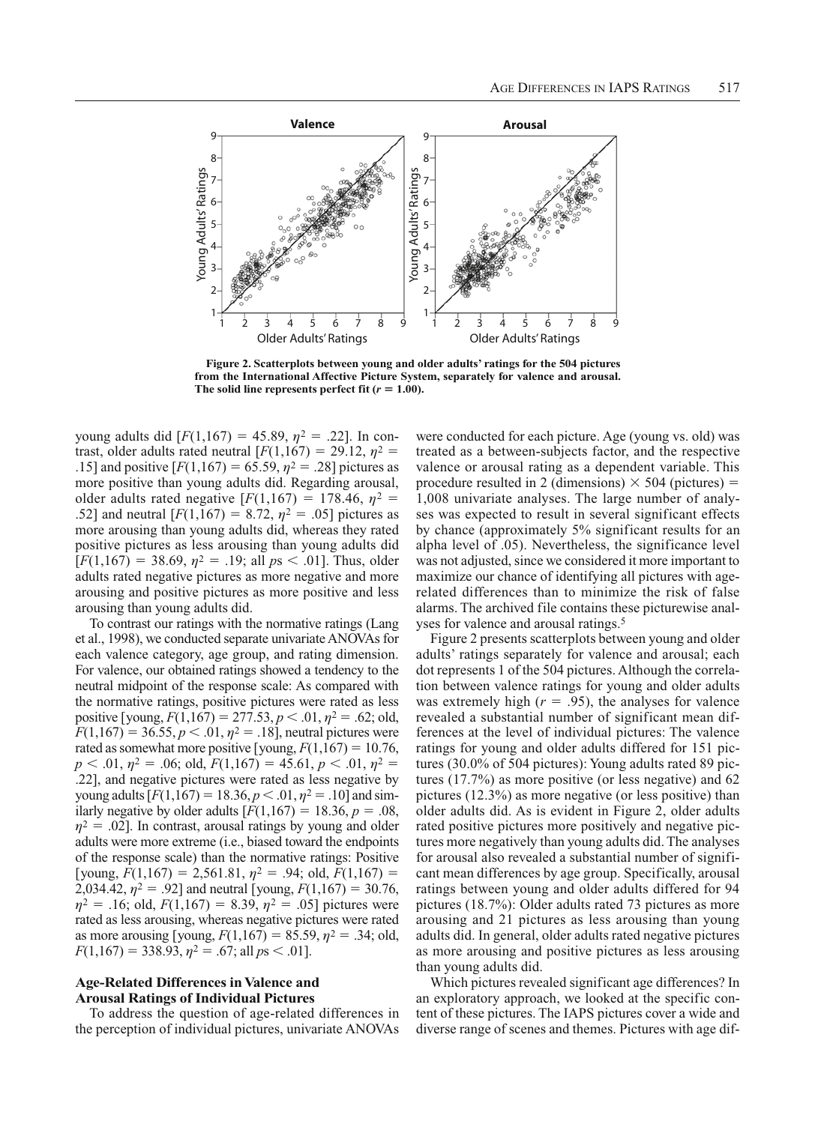

**Figure 2. Scatterplots between young and older adults' ratings for the 504 pictures from the International Affective Picture System, separately for valence and arousal.**  The solid line represents perfect fit  $(r = 1.00)$ .

young adults did  $[F(1,167) = 45.89, \eta^2 = .22]$ . In contrast, older adults rated neutral  $[F(1,167) = 29.12, \eta^2 =$ .15] and positive  $[F(1,167) = 65.59, \eta^2 = .28]$  pictures as more positive than young adults did. Regarding arousal, older adults rated negative  $[F(1,167) = 178.46, \eta^2 =$ .52] and neutral  $[F(1,167) = 8.72, \eta^2 = .05]$  pictures as more arousing than young adults did, whereas they rated positive pictures as less arousing than young adults did  $[F(1,167) = 38.69, \eta^2 = .19;$  all  $ps < .01$ ]. Thus, older adults rated negative pictures as more negative and more arousing and positive pictures as more positive and less arousing than young adults did.

To contrast our ratings with the normative ratings (Lang et al., 1998), we conducted separate univariate ANOVAs for each valence category, age group, and rating dimension. For valence, our obtained ratings showed a tendency to the neutral midpoint of the response scale: As compared with the normative ratings, positive pictures were rated as less positive [young,  $F(1,167) = 277.53, p < .01, \eta^2 = .62$ ; old,  $F(1,167) = 36.55, p < .01, \eta^2 = .18$ ], neutral pictures were rated as somewhat more positive [young,  $F(1,167) = 10.76$ ,  $p < .01, \eta^2 = .06$ ; old,  $F(1,167) = 45.61, p < .01, \eta^2 =$ .22], and negative pictures were rated as less negative by young adults  $[F(1,167) = 18.36, p < .01, \eta^2 = .10]$  and similarly negative by older adults  $[F(1,167) = 18.36, p = .08,$  $\eta^2$  = .02]. In contrast, arousal ratings by young and older adults were more extreme (i.e., biased toward the endpoints of the response scale) than the normative ratings: Positive [young,  $F(1,167) = 2,561.81, \eta^2 = .94$ ; old,  $F(1,167) =$ 2,034.42,  $\eta^2 = .92$ ] and neutral [young,  $F(1,167) = 30.76$ ,  $\eta^2$  = .16; old, *F*(1,167) = 8.39,  $\eta^2$  = .05] pictures were rated as less arousing, whereas negative pictures were rated as more arousing [young,  $F(1,167) = 85.59$ ,  $\eta^2 = .34$ ; old,  $F(1,167) = 338.93, \eta^2 = .67$ ; all  $ps < .01$ .

# **Age-Related Differences in Valence and Arousal Ratings of Individual Pictures**

To address the question of age-related differences in the perception of individual pictures, univariate ANOVAs were conducted for each picture. Age (young vs. old) was treated as a between-subjects factor, and the respective valence or arousal rating as a dependent variable. This procedure resulted in 2 (dimensions)  $\times$  504 (pictures) = 1,008 univariate analyses. The large number of analyses was expected to result in several significant effects by chance (approximately 5% significant results for an alpha level of .05). Nevertheless, the significance level was not adjusted, since we considered it more important to maximize our chance of identifying all pictures with agerelated differences than to minimize the risk of false alarms. The archived file contains these picturewise analyses for valence and arousal ratings.5

Figure 2 presents scatterplots between young and older adults' ratings separately for valence and arousal; each dot represents 1 of the 504 pictures. Although the correlation between valence ratings for young and older adults was extremely high  $(r = .95)$ , the analyses for valence revealed a substantial number of significant mean differences at the level of individual pictures: The valence ratings for young and older adults differed for 151 pictures (30.0% of 504 pictures): Young adults rated 89 pictures (17.7%) as more positive (or less negative) and 62 pictures (12.3%) as more negative (or less positive) than older adults did. As is evident in Figure 2, older adults rated positive pictures more positively and negative pictures more negatively than young adults did. The analyses for arousal also revealed a substantial number of significant mean differences by age group. Specifically, arousal ratings between young and older adults differed for 94 pictures (18.7%): Older adults rated 73 pictures as more arousing and 21 pictures as less arousing than young adults did. In general, older adults rated negative pictures as more arousing and positive pictures as less arousing than young adults did.

Which pictures revealed significant age differences? In an exploratory approach, we looked at the specific content of these pictures. The IAPS pictures cover a wide and diverse range of scenes and themes. Pictures with age dif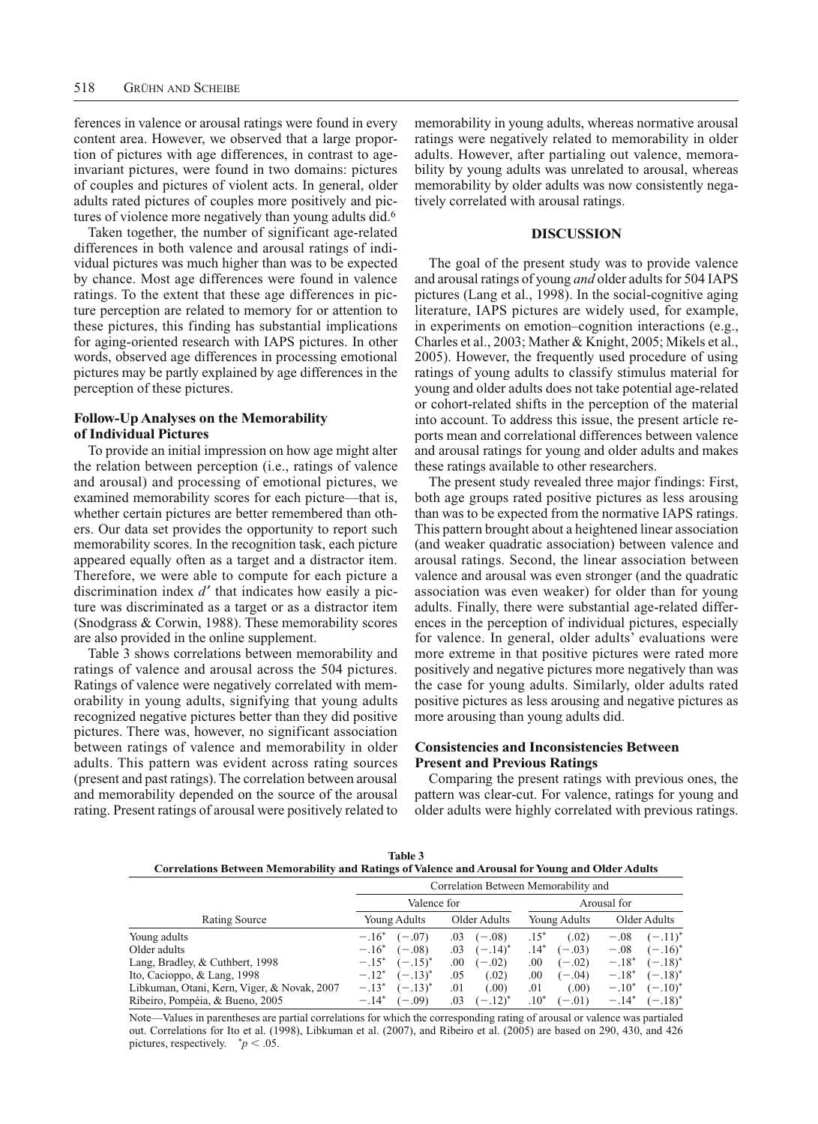ferences in valence or arousal ratings were found in every content area. However, we observed that a large proportion of pictures with age differences, in contrast to ageinvariant pictures, were found in two domains: pictures of couples and pictures of violent acts. In general, older adults rated pictures of couples more positively and pictures of violence more negatively than young adults did.6

Taken together, the number of significant age-related differences in both valence and arousal ratings of individual pictures was much higher than was to be expected by chance. Most age differences were found in valence ratings. To the extent that these age differences in picture perception are related to memory for or attention to these pictures, this finding has substantial implications for aging- oriented research with IAPS pictures. In other words, observed age differences in processing emotional pictures may be partly explained by age differences in the perception of these pictures.

# **Follow-Up Analyses on the Memorability of Individual Pictures**

To provide an initial impression on how age might alter the relation between perception (i.e., ratings of valence and arousal) and processing of emotional pictures, we examined memorability scores for each picture—that is, whether certain pictures are better remembered than others. Our data set provides the opportunity to report such memorability scores. In the recognition task, each picture appeared equally often as a target and a distractor item. Therefore, we were able to compute for each picture a discrimination index *d'* that indicates how easily a picture was discriminated as a target or as a distractor item (Snodgrass & Corwin, 1988). These memorability scores are also provided in the online supplement.

Table 3 shows correlations between memorability and ratings of valence and arousal across the 504 pictures. Ratings of valence were negatively correlated with memorability in young adults, signifying that young adults recognized negative pictures better than they did positive pictures. There was, however, no significant association between ratings of valence and memorability in older adults. This pattern was evident across rating sources (present and past ratings). The correlation between arousal and memorability depended on the source of the arousal rating. Present ratings of arousal were positively related to

memorability in young adults, whereas normative arousal ratings were negatively related to memorability in older adults. However, after partialing out valence, memorability by young adults was unrelated to arousal, whereas memorability by older adults was now consistently negatively correlated with arousal ratings.

## **DISCUSSION**

The goal of the present study was to provide valence and arousal ratings of young *and* older adults for 504 IAPS pictures (Lang et al., 1998). In the social-cognitive aging literature, IAPS pictures are widely used, for example, in experiments on emotion–cognition interactions (e.g., Charles et al., 2003; Mather & Knight, 2005; Mikels et al., 2005). However, the frequently used procedure of using ratings of young adults to classify stimulus material for young and older adults does not take potential age-related or cohort-related shifts in the perception of the material into account. To address this issue, the present article reports mean and correlational differences between valence and arousal ratings for young and older adults and makes these ratings available to other researchers.

The present study revealed three major findings: First, both age groups rated positive pictures as less arousing than was to be expected from the normative IAPS ratings. This pattern brought about a heightened linear association (and weaker quadratic association) between valence and arousal ratings. Second, the linear association between valence and arousal was even stronger (and the quadratic association was even weaker) for older than for young adults. Finally, there were substantial age-related differences in the perception of individual pictures, especially for valence. In general, older adults' evaluations were more extreme in that positive pictures were rated more positively and negative pictures more negatively than was the case for young adults. Similarly, older adults rated positive pictures as less arousing and negative pictures as more arousing than young adults did.

# **Consistencies and Inconsistencies Between Present and Previous Ratings**

Comparing the present ratings with previous ones, the pattern was clear-cut. For valence, ratings for young and older adults were highly correlated with previous ratings.

| Table 3                                                                                                |
|--------------------------------------------------------------------------------------------------------|
| <b>Correlations Between Memorability and Ratings of Valence and Arousal for Young and Older Adults</b> |

|                                             | Correlation Between Memorability and |              |              |              |  |  |  |  |
|---------------------------------------------|--------------------------------------|--------------|--------------|--------------|--|--|--|--|
|                                             | Valence for                          |              | Arousal for  |              |  |  |  |  |
| Rating Source                               | Young Adults                         | Older Adults | Young Adults | Older Adults |  |  |  |  |
| Young adults                                | $-.16*$                              | $(-.08)$     | $.15*$       | $(-.11)^*$   |  |  |  |  |
|                                             | $(-.07)$                             | .03          | (.02)        | $-.08$       |  |  |  |  |
| Older adults                                | $-.16^*$                             | $(-.14)^*$   | $.14*$       | $(-.16)^*$   |  |  |  |  |
|                                             | $(-.08)$                             | .03          | $(-.03)$     | $-.08$       |  |  |  |  |
| Lang, Bradley, & Cuthbert, 1998             | $-.15^*$                             | $(-.02)$     | $(-.02)$     | $(-.18)^*$   |  |  |  |  |
|                                             | $(-.15)^*$                           | .00          | .00          | $-.18^*$     |  |  |  |  |
| Ito, Cacioppo, & Lang, 1998                 | $-.12^*$                             | (.02)        | $(-.04)$     | $-.18^*$     |  |  |  |  |
|                                             | $(-.13)^{*}$                         | .05          | .00.         | $(-.18)^*$   |  |  |  |  |
| Libkuman, Otani, Kern, Viger, & Novak, 2007 | $-.13*$                              | (0.00)       | (.00)        | $(-.10)^*$   |  |  |  |  |
|                                             | $(-.13)^{*}$                         | .01          | .01          | $-.10^*$     |  |  |  |  |
| Ribeiro, Pompéia, & Bueno, 2005             | $-.14^*$                             | .03          | $.10*$       | $(-.18)^*$   |  |  |  |  |
|                                             | $(-.09)$                             | $(-.12)^{*}$ | $(-.01)$     | $-.14^*$     |  |  |  |  |

Note—Values in parentheses are partial correlations for which the corresponding rating of arousal or valence was partialed out. Correlations for Ito et al. (1998), Libkuman et al. (2007), and Ribeiro et al. (2005) are based on 290, 430, and 426 pictures, respectively.  $p < .05$ .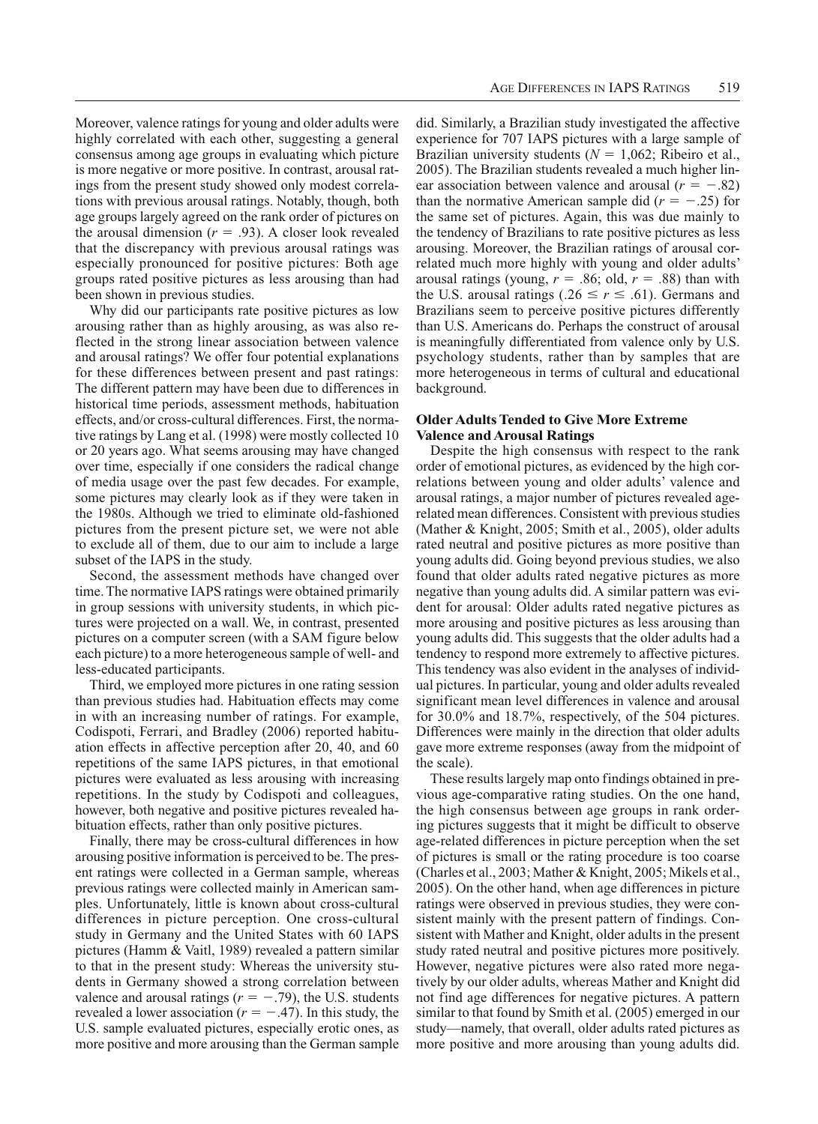Moreover, valence ratings for young and older adults were highly correlated with each other, suggesting a general consensus among age groups in evaluating which picture is more negative or more positive. In contrast, arousal ratings from the present study showed only modest correlations with previous arousal ratings. Notably, though, both age groups largely agreed on the rank order of pictures on the arousal dimension  $(r = .93)$ . A closer look revealed that the discrepancy with previous arousal ratings was especially pronounced for positive pictures: Both age groups rated positive pictures as less arousing than had been shown in previous studies.

Why did our participants rate positive pictures as low arousing rather than as highly arousing, as was also reflected in the strong linear association between valence and arousal ratings? We offer four potential explanations for these differences between present and past ratings: The different pattern may have been due to differences in historical time periods, assessment methods, habituation effects, and/or cross-cultural differences. First, the normative ratings by Lang et al. (1998) were mostly collected 10 or 20 years ago. What seems arousing may have changed over time, especially if one considers the radical change of media usage over the past few decades. For example, some pictures may clearly look as if they were taken in the 1980s. Although we tried to eliminate old-fashioned pictures from the present picture set, we were not able to exclude all of them, due to our aim to include a large subset of the IAPS in the study.

Second, the assessment methods have changed over time. The normative IAPS ratings were obtained primarily in group sessions with university students, in which pictures were projected on a wall. We, in contrast, presented pictures on a computer screen (with a SAM figure below each picture) to a more heterogeneous sample of well- and less-educated participants.

Third, we employed more pictures in one rating session than previous studies had. Habituation effects may come in with an increasing number of ratings. For example, Codispoti, Ferrari, and Bradley (2006) reported habituation effects in affective perception after 20, 40, and 60 repetitions of the same IAPS pictures, in that emotional pictures were evaluated as less arousing with increasing repetitions. In the study by Codispoti and colleagues, however, both negative and positive pictures revealed habituation effects, rather than only positive pictures.

Finally, there may be cross-cultural differences in how arousing positive information is perceived to be. The present ratings were collected in a German sample, whereas previous ratings were collected mainly in American samples. Unfortunately, little is known about cross-cultural differences in picture perception. One cross-cultural study in Germany and the United States with 60 IAPS pictures (Hamm & Vaitl, 1989) revealed a pattern similar to that in the present study: Whereas the university students in Germany showed a strong correlation between valence and arousal ratings  $(r = -.79)$ , the U.S. students revealed a lower association ( $r = -.47$ ). In this study, the U.S. sample evaluated pictures, especially erotic ones, as more positive and more arousing than the German sample

did. Similarly, a Brazilian study investigated the affective experience for 707 IAPS pictures with a large sample of Brazilian university students  $(N = 1,062;$  Ribeiro et al., 2005). The Brazilian students revealed a much higher linear association between valence and arousal  $(r = -.82)$ than the normative American sample did  $(r = -.25)$  for the same set of pictures. Again, this was due mainly to the tendency of Brazilians to rate positive pictures as less arousing. Moreover, the Brazilian ratings of arousal correlated much more highly with young and older adults' arousal ratings (young,  $r = .86$ ; old,  $r = .88$ ) than with the U.S. arousal ratings (.26  $\le r \le$  .61). Germans and Brazilians seem to perceive positive pictures differently than U.S. Americans do. Perhaps the construct of arousal is meaningfully differentiated from valence only by U.S. psychology students, rather than by samples that are more heterogeneous in terms of cultural and educational background.

# **Older Adults Tended to Give More Extreme Valence and Arousal Ratings**

Despite the high consensus with respect to the rank order of emotional pictures, as evidenced by the high correlations between young and older adults' valence and arousal ratings, a major number of pictures revealed agerelated mean differences. Consistent with previous studies (Mather & Knight, 2005; Smith et al., 2005), older adults rated neutral and positive pictures as more positive than young adults did. Going beyond previous studies, we also found that older adults rated negative pictures as more negative than young adults did. A similar pattern was evident for arousal: Older adults rated negative pictures as more arousing and positive pictures as less arousing than young adults did. This suggests that the older adults had a tendency to respond more extremely to affective pictures. This tendency was also evident in the analyses of individual pictures. In particular, young and older adults revealed significant mean level differences in valence and arousal for 30.0% and 18.7%, respectively, of the 504 pictures. Differences were mainly in the direction that older adults gave more extreme responses (away from the midpoint of the scale).

These results largely map onto findings obtained in previous age-comparative rating studies. On the one hand, the high consensus between age groups in rank ordering pictures suggests that it might be difficult to observe age- related differences in picture perception when the set of pictures is small or the rating procedure is too coarse (Charles et al., 2003; Mather & Knight, 2005; Mikels et al., 2005). On the other hand, when age differences in picture ratings were observed in previous studies, they were consistent mainly with the present pattern of findings. Consistent with Mather and Knight, older adults in the present study rated neutral and positive pictures more positively. However, negative pictures were also rated more negatively by our older adults, whereas Mather and Knight did not find age differences for negative pictures. A pattern similar to that found by Smith et al. (2005) emerged in our study—namely, that overall, older adults rated pictures as more positive and more arousing than young adults did.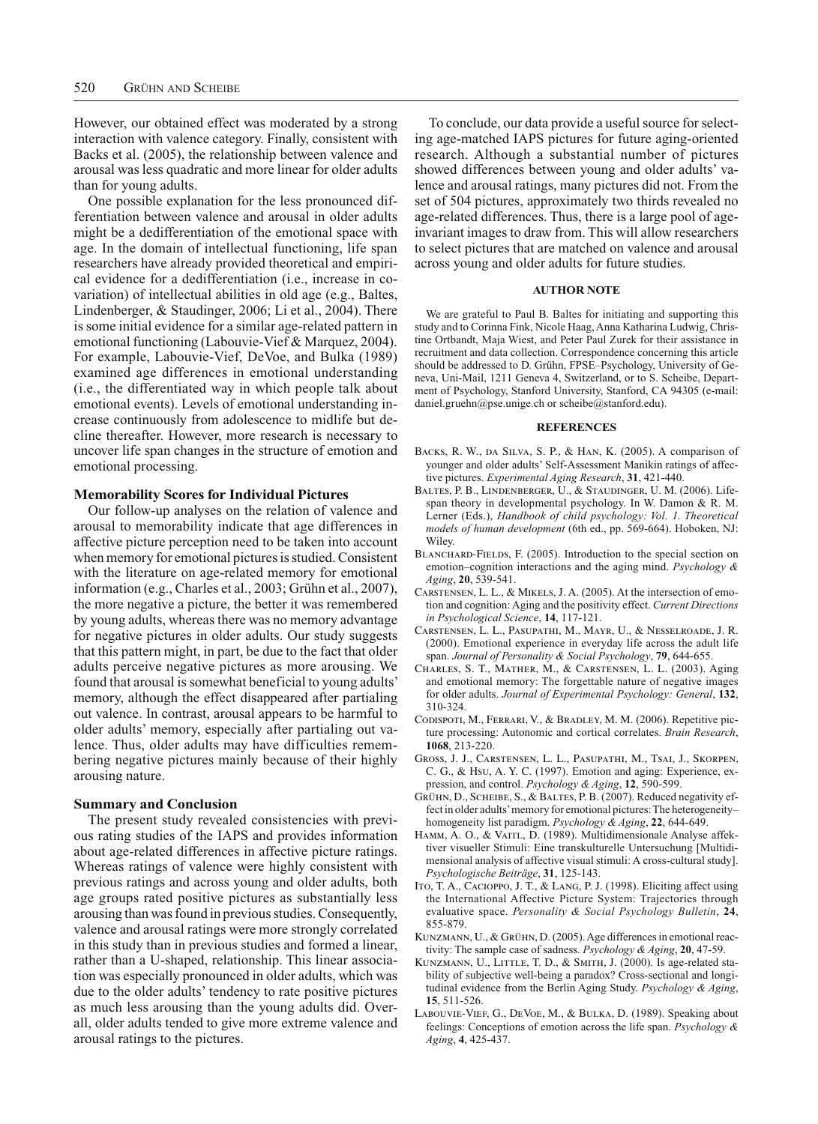However, our obtained effect was moderated by a strong interaction with valence category. Finally, consistent with Backs et al. (2005), the relationship between valence and arousal was less quadratic and more linear for older adults than for young adults.

One possible explanation for the less pronounced differentiation between valence and arousal in older adults might be a dedifferentiation of the emotional space with age. In the domain of intellectual functioning, life span researchers have already provided theoretical and empirical evidence for a dedifferentiation (i.e., increase in covariation) of intellectual abilities in old age (e.g., Baltes, Lindenberger, & Staudinger, 2006; Li et al., 2004). There is some initial evidence for a similar age-related pattern in emotional functioning (Labouvie-Vief & Marquez, 2004). For example, Labouvie-Vief, DeVoe, and Bulka (1989) examined age differences in emotional understanding (i.e., the differentiated way in which people talk about emotional events). Levels of emotional understanding increase continuously from adolescence to midlife but decline thereafter. However, more research is necessary to uncover life span changes in the structure of emotion and emotional processing.

### **Memorability Scores for Individual Pictures**

Our follow-up analyses on the relation of valence and arousal to memorability indicate that age differences in affective picture perception need to be taken into account when memory for emotional pictures is studied. Consistent with the literature on age-related memory for emotional information (e.g., Charles et al., 2003; Grühn et al., 2007), the more negative a picture, the better it was remembered by young adults, whereas there was no memory advantage for negative pictures in older adults. Our study suggests that this pattern might, in part, be due to the fact that older adults perceive negative pictures as more arousing. We found that arousal is somewhat beneficial to young adults' memory, although the effect disappeared after partialing out valence. In contrast, arousal appears to be harmful to older adults' memory, especially after partialing out valence. Thus, older adults may have difficulties remembering negative pictures mainly because of their highly arousing nature.

#### **Summary and Conclusion**

The present study revealed consistencies with previous rating studies of the IAPS and provides information about age-related differences in affective picture ratings. Whereas ratings of valence were highly consistent with previous ratings and across young and older adults, both age groups rated positive pictures as substantially less arousing than was found in previous studies. Consequently, valence and arousal ratings were more strongly correlated in this study than in previous studies and formed a linear, rather than a U-shaped, relationship. This linear association was especially pronounced in older adults, which was due to the older adults' tendency to rate positive pictures as much less arousing than the young adults did. Overall, older adults tended to give more extreme valence and arousal ratings to the pictures.

To conclude, our data provide a useful source for selecting age-matched IAPS pictures for future aging-oriented research. Although a substantial number of pictures showed differences between young and older adults' valence and arousal ratings, many pictures did not. From the set of 504 pictures, approximately two thirds revealed no age-related differences. Thus, there is a large pool of ageinvariant images to draw from. This will allow researchers to select pictures that are matched on valence and arousal across young and older adults for future studies.

#### **AUTHOR NOTE**

We are grateful to Paul B. Baltes for initiating and supporting this study and to Corinna Fink, Nicole Haag, Anna Katharina Ludwig, Christine Ortbandt, Maja Wiest, and Peter Paul Zurek for their assistance in recruitment and data collection. Correspondence concerning this article should be addressed to D. Grühn, FPSE–Psychology, University of Geneva, Uni-Mail, 1211 Geneva 4, Switzerland, or to S. Scheibe, Department of Psychology, Stanford University, Stanford, CA 94305 (e-mail: daniel.gruehn@pse.unige.ch or scheibe@stanford.edu).

#### **REFERENCES**

- Backs, R. W., da Silva, S. P., & Han, K. (2005). A comparison of younger and older adults' Self-Assessment Manikin ratings of affective pictures. *Experimental Aging Research*, **31**, 421-440.
- Baltes, P. B., Lindenberger, U., & Staudinger, U. M. (2006). Lifespan theory in developmental psychology. In W. Damon & R. M. Lerner (Eds.), *Handbook of child psychology: Vol. 1. Theoretical models of human development* (6th ed., pp. 569-664). Hoboken, NJ: Wiley.
- BLANCHARD-FIELDS, F. (2005). Introduction to the special section on emotion–cognition interactions and the aging mind. *Psychology & Aging*, **20**, 539-541.
- Carstensen, L. L., & Mikels, J. A. (2005). At the intersection of emotion and cognition: Aging and the positivity effect. *Current Directions in Psychological Science*, **14**, 117-121.
- Carstensen, L. L., Pasupathi, M., Mayr, U., & Nesselroade, J. R. (2000). Emotional experience in everyday life across the adult life span. *Journal of Personality & Social Psychology*, **79**, 644-655.
- Charles, S. T., Mather, M., & Carstensen, L. L. (2003). Aging and emotional memory: The forgettable nature of negative images for older adults. *Journal of Experimental Psychology: General*, **132**, 310-324.
- Codispoti, M., Ferrari, V., & Bradley, M. M. (2006). Repetitive picture processing: Autonomic and cortical correlates. *Brain Research*, **1068**, 213-220.
- Gross, J. J., Carstensen, L. L., Pasupathi, M., Tsai, J., Skorpen, C. G., & Hsu, A. Y. C. (1997). Emotion and aging: Experience, expression, and control. *Psychology & Aging*, **12**, 590-599.
- GRÜHN, D., SCHEIBE, S., & BALTES, P. B. (2007). Reduced negativity effect in older adults' memory for emotional pictures: The heterogeneity– homogeneity list paradigm. *Psychology & Aging*, **22**, 644-649.
- HAMM, A. O., & VAITL, D. (1989). Multidimensionale Analyse affektiver visueller Stimuli: Eine transkulturelle Untersuchung [Multidimensional analysis of affective visual stimuli: A cross-cultural study]. *Psychologische Beiträge*, **31**, 125-143.
- Ito, T. A., Cacioppo, J. T., & Lang, P. J. (1998). Eliciting affect using the International Affective Picture System: Trajectories through evaluative space. *Personality & Social Psychology Bulletin*, **24**, 855-879.
- Kunzmann, U., & Grühn, D. (2005). Age differences in emotional reactivity: The sample case of sadness. *Psychology & Aging*, **20**, 47-59.
- KUNZMANN, U., LITTLE, T. D., & SMITH, J. (2000). Is age-related stability of subjective well-being a paradox? Cross-sectional and longitudinal evidence from the Berlin Aging Study. *Psychology & Aging*, **15**, 511-526.
- Labouvie-Vief, G., DeVoe, M., & Bulka, D. (1989). Speaking about feelings: Conceptions of emotion across the life span. *Psychology & Aging*, **4**, 425-437.